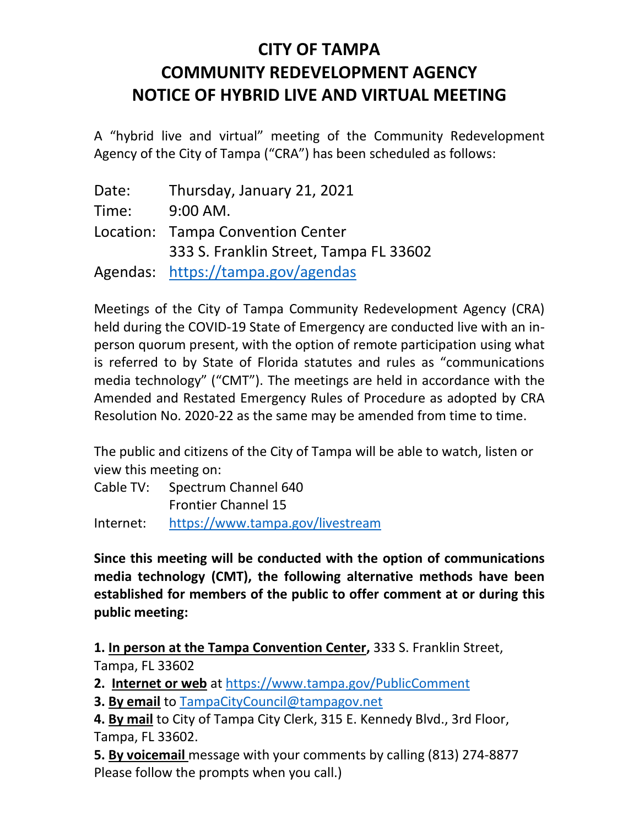## **CITY OF TAMPA COMMUNITY REDEVELOPMENT AGENCY NOTICE OF HYBRID LIVE AND VIRTUAL MEETING**

A "hybrid live and virtual" meeting of the Community Redevelopment Agency of the City of Tampa ("CRA") has been scheduled as follows:

| Date: | Thursday, January 21, 2021             |
|-------|----------------------------------------|
| Time: | $9:00$ AM.                             |
|       | Location: Tampa Convention Center      |
|       | 333 S. Franklin Street, Tampa FL 33602 |
|       | Agendas: https://tampa.gov/agendas     |

Meetings of the City of Tampa Community Redevelopment Agency (CRA) held during the COVID-19 State of Emergency are conducted live with an inperson quorum present, with the option of remote participation using what is referred to by State of Florida statutes and rules as "communications media technology" ("CMT"). The meetings are held in accordance with the Amended and Restated Emergency Rules of Procedure as adopted by CRA Resolution No. 2020-22 as the same may be amended from time to time.

The public and citizens of the City of Tampa will be able to watch, listen or view this meeting on:

Cable TV: Spectrum Channel 640 Frontier Channel 15 Internet: <https://www.tampa.gov/livestream>

**Since this meeting will be conducted with the option of communications media technology (CMT), the following alternative methods have been established for members of the public to offer comment at or during this public meeting:**

**1. In person at the Tampa Convention Center,** 333 S. Franklin Street, Tampa, FL 33602

**2. Internet or web** at<https://www.tampa.gov/PublicComment>

**3. By email** to [TampaCityCouncil@tampagov.net](mailto:TampaCityCouncil@tampagov.net)

**4. By mail** to City of Tampa City Clerk, 315 E. Kennedy Blvd., 3rd Floor, Tampa, FL 33602.

**5. By voicemail** message with your comments by calling (813) 274-8877 Please follow the prompts when you call.)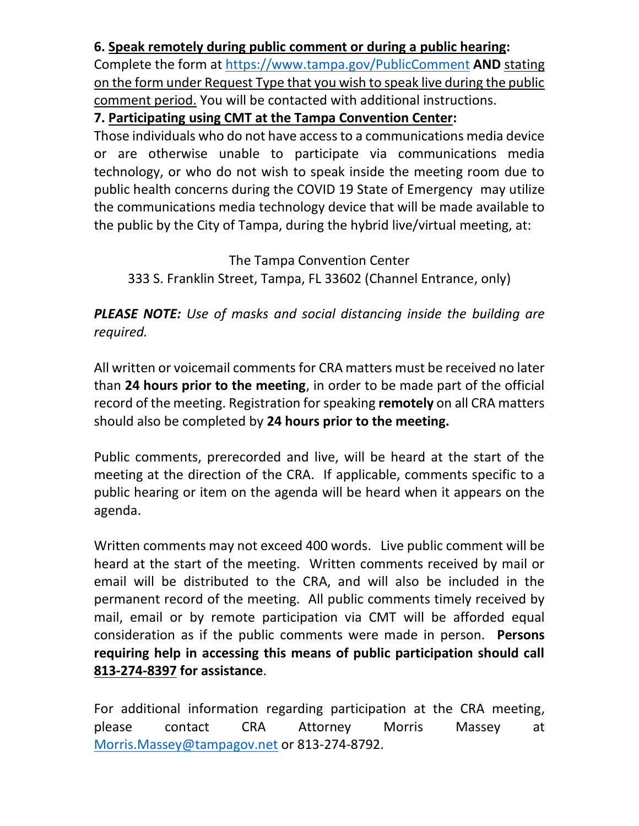## **6. Speak remotely during public comment or during a public hearing:**

Complete the form at<https://www.tampa.gov/PublicComment> **AND** stating on the form under Request Type that you wish to speak live during the public comment period. You will be contacted with additional instructions.

## **7. Participating using CMT at the Tampa Convention Center:**

Those individuals who do not have access to a communications media device or are otherwise unable to participate via communications media technology, or who do not wish to speak inside the meeting room due to public health concerns during the COVID 19 State of Emergency may utilize the communications media technology device that will be made available to the public by the City of Tampa, during the hybrid live/virtual meeting, at:

The Tampa Convention Center 333 S. Franklin Street, Tampa, FL 33602 (Channel Entrance, only)

*PLEASE NOTE: Use of masks and social distancing inside the building are required.*

All written or voicemail comments for CRA matters must be received no later than **24 hours prior to the meeting**, in order to be made part of the official record of the meeting. Registration for speaking **remotely** on all CRA matters should also be completed by **24 hours prior to the meeting.**

Public comments, prerecorded and live, will be heard at the start of the meeting at the direction of the CRA. If applicable, comments specific to a public hearing or item on the agenda will be heard when it appears on the agenda.

Written comments may not exceed 400 words. Live public comment will be heard at the start of the meeting. Written comments received by mail or email will be distributed to the CRA, and will also be included in the permanent record of the meeting. All public comments timely received by mail, email or by remote participation via CMT will be afforded equal consideration as if the public comments were made in person. **Persons requiring help in accessing this means of public participation should call 813-274-8397 for assistance**.

For additional information regarding participation at the CRA meeting, please contact CRA Attorney Morris Massey at [Morris.Massey@tampagov.net](mailto:Morris.Massey@tampagov.net) or 813-274-8792.